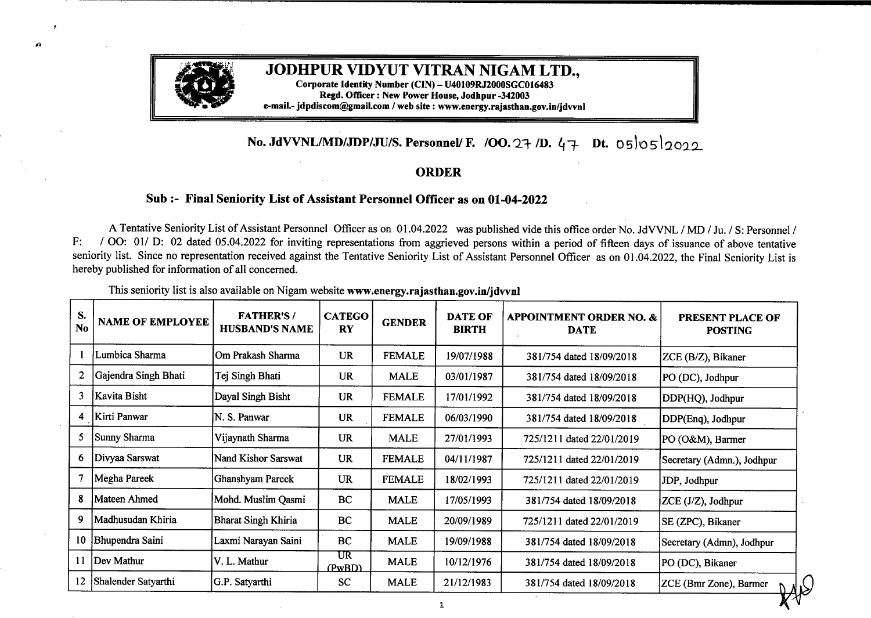

## **JODHPUR VIDYUT VITRAN NIGAM LTD.,**

**Corporate Identity Number (CIN) - U40109R.J2000SGC016483 Regd. Officer: New Power House, Jodhpur -342003 e-mail.- jdpdiscom@gmail.com /web site : www.energy.rajasthan.gov.in/jdvvnl**

## **No. JdVVNL/MD/JDP/JU/S. Personnel/ F. /OO. 27 /D.** 47 Dt. 05 05 2022

## **0RDER**

## **Sub:- Final Seniority List ofAssistant Personnel Officer as on 01-04-2022**

A Tentative Seniority List of Assistant Personnel Officer as on 01.04.2022 was published vide this office order No. JdVVNL / MD / Ju. / S: Personnel / F: / OO: 01/ D: 02 dated 05.04.2022 for inviting representations from aggrieved persons within a period of fifteen days of issuance of above tentative seniority list. Since no representation received against the Tentative Seniority List of Assistant Personnel Officer as on 01.04.2022, the Final Seniority List is hereby published for information of all concerned.

| S.<br><b>NAME OF EMPLOYEE</b><br>No | <b>FATHER'S/</b><br><b>HUSBAND'S NAME</b> | <b>CATEGO</b><br><b>RY</b> | <b>GENDER</b> | <b>DATE OF</b><br><b>BIRTH</b> | <b>APPOINTMENT ORDER NO. &amp;</b><br><b>DATE</b> | PRESENT PLACE OF<br><b>POSTING</b> |
|-------------------------------------|-------------------------------------------|----------------------------|---------------|--------------------------------|---------------------------------------------------|------------------------------------|
| Lumbica Sharma                      | Om Prakash Sharma                         | <b>UR</b>                  | <b>FEMALE</b> | 19/07/1988                     | 381/754 dated 18/09/2018                          | ZCE (B/Z), Bikaner                 |
| 2<br>Gajendra Singh Bhati           | Tej Singh Bhati                           | <b>UR</b>                  | <b>MALE</b>   | 03/01/1987                     | 381/754 dated 18/09/2018                          | PO (DC), Jodhpur                   |
| 3<br>Kavita Bisht                   | Dayal Singh Bisht                         | <b>UR</b>                  | <b>FEMALE</b> | 17/01/1992                     | 381/754 dated 18/09/2018                          | DDP(HQ), Jodhpur                   |
| Kirti Panwar<br>4                   | N. S. Panwar                              | <b>UR</b>                  | <b>FEMALE</b> | 06/03/1990                     | 381/754 dated 18/09/2018                          | DDP(Enq), Jodhpur                  |
| 5<br>Sunny Sharma                   | Vijaynath Sharma                          | <b>UR</b>                  | <b>MALE</b>   | 27/01/1993                     | 725/1211 dated 22/01/2019                         | PO (O&M), Barmer                   |
| Divyaa Sarswat<br>6                 | Nand Kishor Sarswat                       | <b>UR</b>                  | <b>FEMALE</b> | 04/11/1987                     | 725/1211 dated 22/01/2019                         | Secretary (Admn.), Jodhpur         |
| 7<br>Megha Pareek                   | Ghanshyam Pareek                          | <b>UR</b>                  | <b>FEMALE</b> | 18/02/1993                     | 725/1211 dated 22/01/2019                         | JDP, Jodhpur                       |
| 8<br>Mateen Ahmed                   | Mohd. Muslim Qasmi                        | BC                         | <b>MALE</b>   | 17/05/1993                     | 381/754 dated 18/09/2018                          | ZCE (J/Z), Jodhpur                 |
| 9<br> Madhusudan Khiria             | <b>Bharat Singh Khiria</b>                | BC                         | <b>MALE</b>   | 20/09/1989                     | 725/1211 dated 22/01/2019                         | SE (ZPC), Bikaner                  |
| Bhupendra Saini<br>10               | Laxmi Narayan Saini                       | <b>BC</b>                  | <b>MALE</b>   | 19/09/1988                     | 381/754 dated 18/09/2018                          | Secretary (Admn), Jodhpur          |
| 11<br>Dev Mathur                    | V. L. Mathur                              | UR<br>(PwBD)               | <b>MALE</b>   | 10/12/1976                     | 381/754 dated 18/09/2018                          | PO (DC), Bikaner                   |
| 12<br>Shalender Satyarthi           | G.P. Satyarthi                            | <b>SC</b>                  | <b>MALE</b>   | 21/12/1983                     | 381/754 dated 18/09/2018                          | ZCE (Bmr Zone), Barmer             |
|                                     |                                           |                            |               |                                |                                                   |                                    |

This seniority list is also available on Nigam website **www.energy.rajasthan.gov.in/jdvvnl**